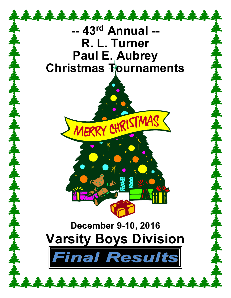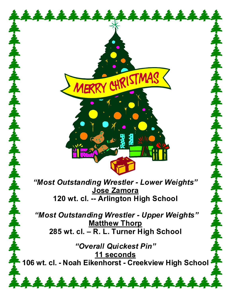

*"Most Outstanding Wrestler - Lower Weights"* **Jose Zamora 120 wt. cl. -- Arlington High School**

*"Most Outstanding Wrestler - Upper Weights"* **Matthew Thorp 285 wt. cl. – R. L. Turner High School**

*"Overall Quickest Pin"* **11 seconds 106 wt. cl. - Noah Eikenhorst - Creekview High School**

\*\*\*\*\*\*\*\*\*\*\*\*\*\*\*\*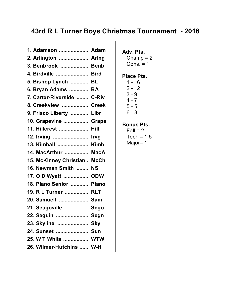| 1. Adamson  Adam                    |      |
|-------------------------------------|------|
| 2. Arlington  Arlng                 |      |
| 3. Benbrook  Benb                   |      |
| 4. Birdville  Bird                  |      |
| 5. Bishop Lynch  BL                 |      |
| 6. Bryan Adams  BA                  |      |
| 7. Carter-Riverside  C-Riv          |      |
| 8. Creekview  Creek                 |      |
| 9. Frisco Liberty  Libr             |      |
| 10. Grapevine  Grape                |      |
| 11. Hillcrest  Hill                 |      |
| 12. Irving  Irvg                    |      |
| 13. Kimball  Kimb                   |      |
| 14. MacArthur  MacA                 |      |
|                                     |      |
| 15. McKinney Christian. McCh        |      |
| 16. Newman Smith  NS                |      |
| 17. O D Wyatt  ODW                  |      |
| 18. Plano Senior  Plano             |      |
| 19. R L Turner  RLT                 |      |
| 20. Samuell  Sam                    |      |
| 21. Seagoville  Sego                |      |
| 22. Seguin<br>                      | Segn |
|                                     |      |
| 23. Skyline  Sky<br>24. Sunset  Sun |      |
| 25. W T White  WTW                  |      |

### **Adv. Pts.**

Champ  $= 2$ Cons.  $= 1$ 

### **Place Pts.**

### **Bonus Pts.**

 $Fall = 2$ Tech =  $1.5$ Major= 1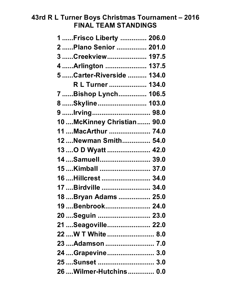## **43rd R L Turner Boys Christmas Tournament – 2016 FINAL TEAM STANDINGS**

| 1  Frisco Liberty  206.0     |
|------------------------------|
| 2  Plano Senior  201.0       |
| 3  Creekview  197.5          |
| 4  Arlington  137.5          |
| 5  Carter-Riverside  134.0   |
| R L Turner  134.0            |
| 7  Bishop Lynch 106.5        |
| 8 Skyline  103.0             |
| 9 Irving  98.0               |
| 10  McKinney Christian  90.0 |
| 11  MacArthur  74.0          |
| 12Newman Smith 54.0          |
| 13  O D Wyatt  42.0          |
| 14Samuell 39.0               |
| 15Kimball  37.0              |
| 16  Hillcrest  34.0          |
| 17  Birdville  34.0          |
| 18  Bryan Adams  25.0        |
| 19  Benbrook 24.0            |
| 20  Seguin  23.0             |
| 21  Seagoville       22.0    |
| 22  W T White  8.0           |
| 23  Adamson  7.0             |
| 24  Grapevine  3.0           |
| 25  Sunset  3.0              |
| 26  Wilmer-Hutchins  0.0     |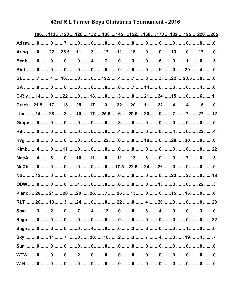| 43rd R L Turner Boys Christmas Tournament - 2016 |  |  |  |
|--------------------------------------------------|--|--|--|
|--------------------------------------------------|--|--|--|

|                                                                                     | 106 113 120  126  132 138  145  152 160  170  182  195 220  285 |  |  |  |  |  |  |
|-------------------------------------------------------------------------------------|-----------------------------------------------------------------|--|--|--|--|--|--|
|                                                                                     |                                                                 |  |  |  |  |  |  |
| Arlng 0 22 25.511  3 17 11 18 00  0 17 0                                            |                                                                 |  |  |  |  |  |  |
|                                                                                     |                                                                 |  |  |  |  |  |  |
|                                                                                     |                                                                 |  |  |  |  |  |  |
| BL 7 4 16.50  019.5 4 7 33 22 20.5 0 0                                              |                                                                 |  |  |  |  |  |  |
| BA ………0……… 0………0………0 ……. 0……… 0………0 ………7……. 14………0 ………0 ……. 0……… 4………0              |                                                                 |  |  |  |  |  |  |
| C-Riv 14 022 0  18 0 3 0 21  24  15  0 6  11                                        |                                                                 |  |  |  |  |  |  |
| Creek 21.5  17  13  25  17  3  22  20  11  22  4  4  18  0                          |                                                                 |  |  |  |  |  |  |
| Libr 14 28  3 10  17 25.5  6  29.5  20 0 7  27  12                                  |                                                                 |  |  |  |  |  |  |
|                                                                                     |                                                                 |  |  |  |  |  |  |
| Hill ………0……… 0………0 ………0 ……. 0……… 0………4 ………0……… 0………0 ………4 ……. 0……. 22…….4           |                                                                 |  |  |  |  |  |  |
|                                                                                     |                                                                 |  |  |  |  |  |  |
|                                                                                     |                                                                 |  |  |  |  |  |  |
| MacA 4 60 16  110 11 13 3 0  70 3                                                   |                                                                 |  |  |  |  |  |  |
|                                                                                     |                                                                 |  |  |  |  |  |  |
|                                                                                     |                                                                 |  |  |  |  |  |  |
|                                                                                     |                                                                 |  |  |  |  |  |  |
| Plano ……28…… 21…… 20 …… 20 …… 26……. 7 ……. 25 …… 13……. 0……… 6 ……. 15 …… 16……. 0……… 6 |                                                                 |  |  |  |  |  |  |
|                                                                                     |                                                                 |  |  |  |  |  |  |
|                                                                                     |                                                                 |  |  |  |  |  |  |
|                                                                                     |                                                                 |  |  |  |  |  |  |
|                                                                                     |                                                                 |  |  |  |  |  |  |
| Sky 0 11  7 0  20  16  2 3  4 3  19  4 7                                            |                                                                 |  |  |  |  |  |  |
|                                                                                     |                                                                 |  |  |  |  |  |  |
|                                                                                     |                                                                 |  |  |  |  |  |  |
|                                                                                     |                                                                 |  |  |  |  |  |  |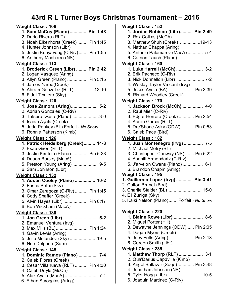| <u> Weight Class : 106</u>                                       |
|------------------------------------------------------------------|
| 1. Sam McCoy (Plano)  Pin 1:48                                   |
| 2. Dario Rivera (RLT)                                            |
| 3. Noah Eikenhorst (Creek)  Pin 1:45<br>4. Hunter Johnson (Libr) |
| 5. Justin Bunyavong (C-Riv) Pin 1:55                             |
| 6. Anthony Machorro (NS)                                         |
| <b>Weight Class: 113</b>                                         |
| 1. Broderick Green (Libr)  Pin 2:42                              |
| 2. Logan Vasquez (Arlng)                                         |
| 3. Allyn Green (Plano)  Pin 5:15                                 |
| 4. James Yarbo(Creek)                                            |
| 5. Abram Gonzalez (RLT) 12-10                                    |
| 6. Fidel Tinajero (Sky)                                          |
| <b>Weight Class:120</b>                                          |
| 1. Jose Zamora (Arlng) 5-2<br>2. Adrian Gonzales (C-Riv)         |
| 3. Tatsuro Iwase (Plano) 3-0                                     |
| 4. Isaiah Ayala (Creek)                                          |
| 5. Judd Pankey (BL) Forfeit - No Show                            |
| 6. Ronnie Patterson (Kimb)                                       |
| <u> Weight Class : 126</u>                                       |
| 1. Patrick Heidelberg (Creek) 14-3                               |
| 2. Esau Giron (RLT)                                              |
| 3. Justin Kirstein (Plano) Pin 5:23                              |
| 4. Deaon Bursey (MacA)                                           |
| 5. Preston Young (Arlng) 9-5<br>6. Sam Johnson (Libr)            |
|                                                                  |
| <u> Weight Class : 132</u><br>1. Austin Cooley (Plano)  10-2     |
| 2. Fasha Sethi (Sky)                                             |
| 3. Omar Zaragoza (C-Riv)  Pin 1:45                               |
| 4. Cody Shaffer (Creek)                                          |
| 5. Alvin Hayes (Libr)  Pin 0:17                                  |
| 6. Ben Wickham (MacA)                                            |
| <b>Weight Class:138</b>                                          |
| 1. Jon Green (Libr) 5-2                                          |
| 2. Emanuel Ventura (Irvg)                                        |
| 3. Max Mills (BL) Pin 1:24<br>4. Gavin Lewis (Arlng)             |
| 5. Julio Melendez (Sky)  19-5                                    |
| 6. Noe Delgado (Sam)                                             |
| <u> Weight Class : 145</u>                                       |
| 1. Dominic Ramos (Plano)  7-4                                    |
| 2. Caleb Flores (Creek)                                          |
| 3. Cesar Villanueva (RLT)  Pin 4:30                              |
| 4. Caleb Doyle (McCh)                                            |
|                                                                  |
| 6. Ethan Scroggins (Arlng)                                       |

| Weight Class: 152                                               |
|-----------------------------------------------------------------|
| 1. Jordan Robison (Libr) Pin 2:49                               |
| 2. Rex Collins (McCh)                                           |
| 3. Matthew Shuh (Creek) 19-13                                   |
| 4. Nathan Chappa (Arlng)                                        |
| 5. Antonio Palomarez (MacA)  5-4                                |
| 6. Carson Tauch (Plano)                                         |
| <b>Weight Class: 160</b>                                        |
| 1. Luke Harrell (McCh)  3-2                                     |
| 2. Erik Pacheco (C-Riv)                                         |
| 3. Nick Donnellon (Libr)  7-2                                   |
| 4. Wesley Taylor-Vincent (Irvg)                                 |
| 5. Jesus Ayala (BA)  Pin 3:39                                   |
| 6. Rishard Woodley (Creek)                                      |
| Weight Class: 170                                               |
| 1. Jackson Brock (McCh)  4-0                                    |
| 2. Raul Mier (C-Riv)                                            |
| 3. Edgar Herrera (Creek)  Pin 2:54                              |
| 4. Aaron Garcia (RLT)                                           |
| 5. Dre'Shone Asky (ODW)  Pin 0:53                               |
| 6. Caleb Pace (Bird)                                            |
|                                                                 |
| Weight Class: 182                                               |
| 1. Juan Montenegro (Irvg)  7-5<br>2. Michael Metry (BL)         |
|                                                                 |
| 3. Christopher Conway (NS)  Pin 5:22                            |
| 4. Asaniti Armendariz (C-Riv)                                   |
| 5. J'arveion Owens (Plano) 6-1                                  |
| 6. Brandon Chapin (Arlng)                                       |
| <b>Weight Class: 195</b><br>1. Guillermo Lopez (Irvg)  Pin 3:41 |
| 2. Colton Brandt (Bird)                                         |
| 3. Charlie Stalder (BL) 15-0                                    |
| 4. Eli Zuniga (Sky)                                             |
| 5. Kaiki Nelson (Plano) Forfeit - No Show                       |
|                                                                 |
|                                                                 |
| <b>Weight Class: 220</b>                                        |
| 1. Blaine Rowe (Libr)  8-6                                      |
| 2. Miguel Porter (Hill)                                         |
| 3. Dewayne Jennings (ODW) Pin 2:05                              |
| 4. Dagan Myers (Creek)                                          |
| 5. Joey Felts (Arlng) Pin 2:18                                  |
| 6. Gordon Smith (Libr)                                          |
| <b>Weight Class: 285</b>                                        |
| 1. Matthew Thorp (RLT)  3-1                                     |
| 2. Qua'Darius Capdville (Kimb)                                  |
| 3. Angel Baltazar (Sego) Pin 3:48                               |
| 4. Jonathan Johnson (NS)                                        |
| 5. Tyler Hogg (Libr) 10-5                                       |

6. Joaquin Martinez (C-Riv)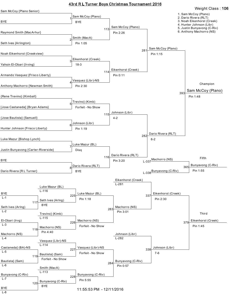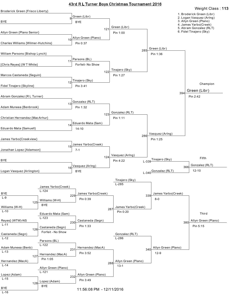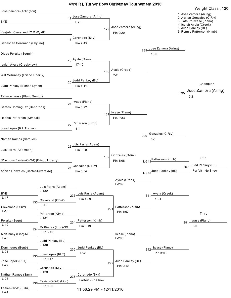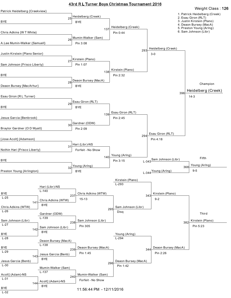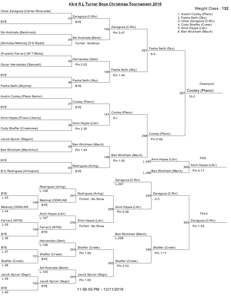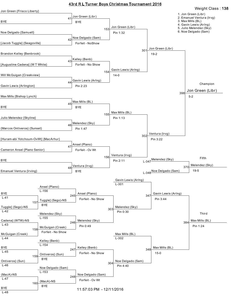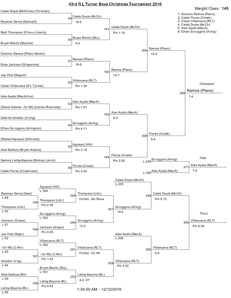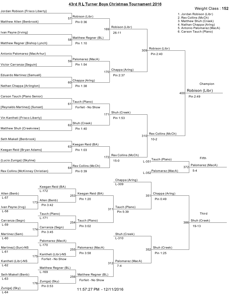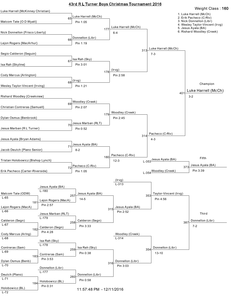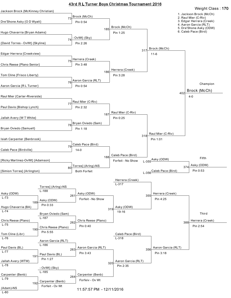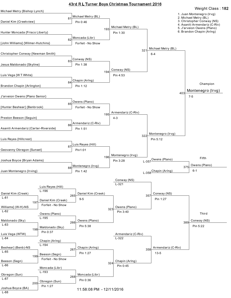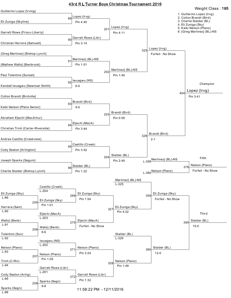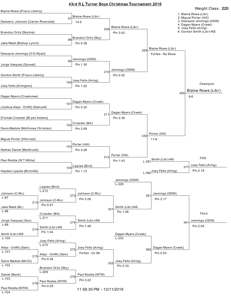